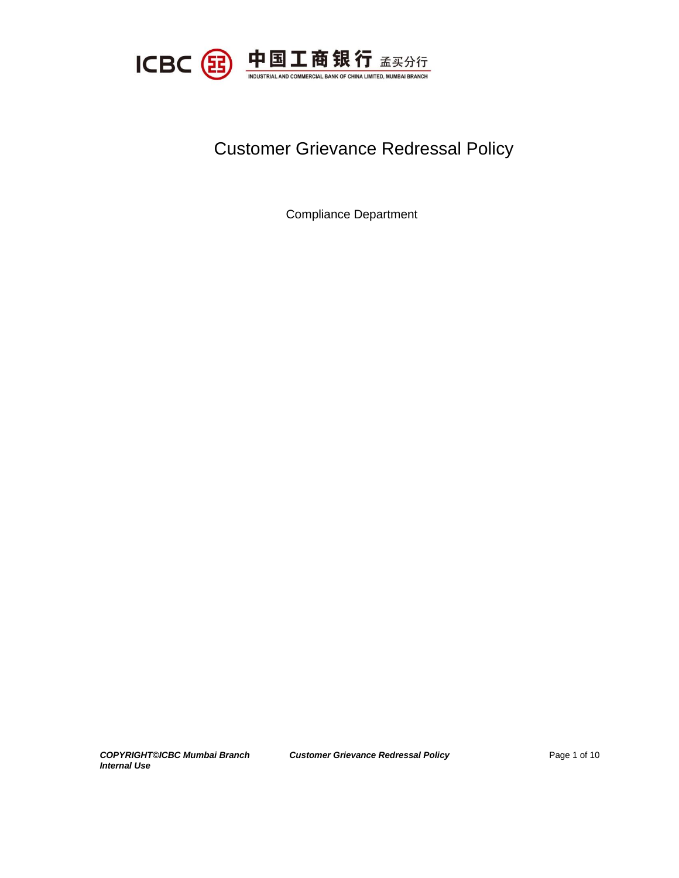

# Customer Grievance Redressal Policy

Compliance Department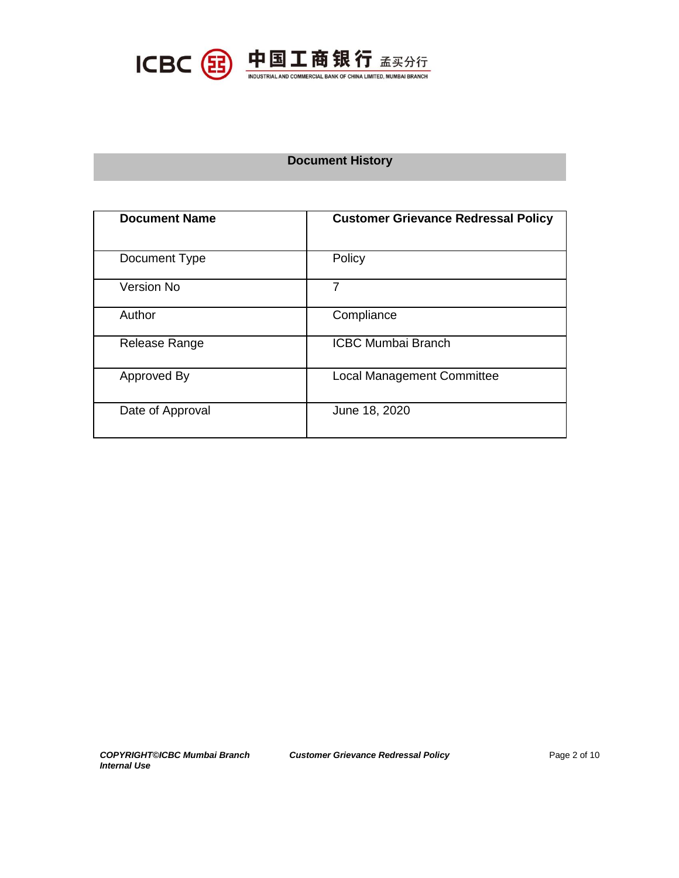

## **Document History**

| <b>Document Name</b> | <b>Customer Grievance Redressal Policy</b> |
|----------------------|--------------------------------------------|
| Document Type        | Policy                                     |
| <b>Version No</b>    | 7                                          |
| Author               | Compliance                                 |
| Release Range        | <b>ICBC Mumbai Branch</b>                  |
| Approved By          | <b>Local Management Committee</b>          |
| Date of Approval     | June 18, 2020                              |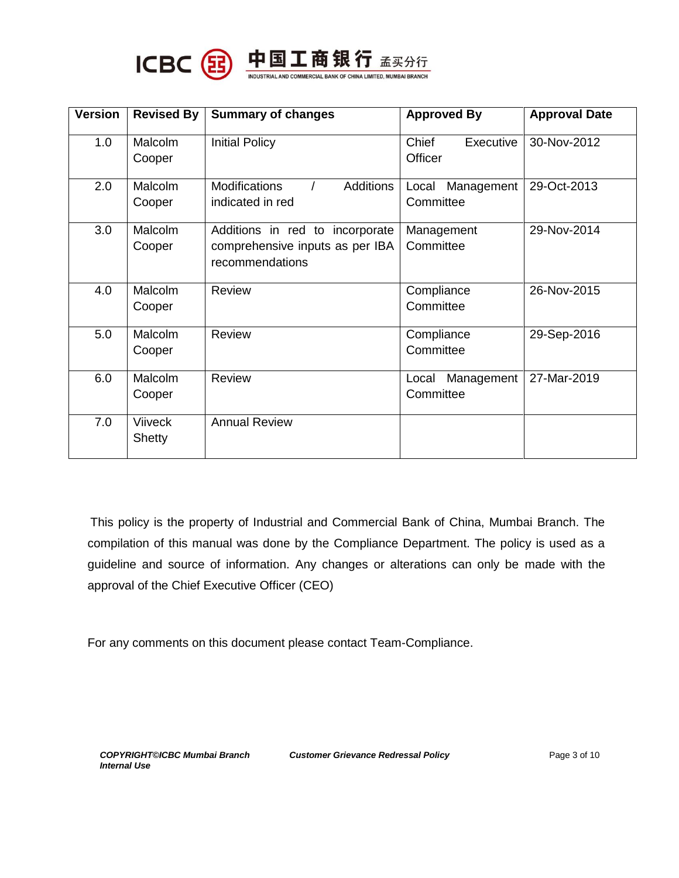

ICBC 8 H国工商银行 孟买分行

| <b>Version</b> | <b>Revised By</b> | <b>Summary of changes</b>                | <b>Approved By</b>  | <b>Approval Date</b> |
|----------------|-------------------|------------------------------------------|---------------------|----------------------|
| 1.0            | <b>Malcolm</b>    | <b>Initial Policy</b>                    | Chief<br>Executive  | 30-Nov-2012          |
|                | Cooper            |                                          | Officer             |                      |
| 2.0            | Malcolm           | <b>Additions</b><br><b>Modifications</b> | Management<br>Local | 29-Oct-2013          |
|                | Cooper            | indicated in red                         | Committee           |                      |
| 3.0            | Malcolm           | Additions in red to incorporate          | Management          | 29-Nov-2014          |
|                | Cooper            | comprehensive inputs as per IBA          | Committee           |                      |
|                |                   | recommendations                          |                     |                      |
| 4.0            | Malcolm           | <b>Review</b>                            | Compliance          | 26-Nov-2015          |
|                | Cooper            |                                          | Committee           |                      |
| 5.0            | Malcolm           | <b>Review</b>                            | Compliance          | 29-Sep-2016          |
|                | Cooper            |                                          | Committee           |                      |
| 6.0            | <b>Malcolm</b>    | <b>Review</b>                            | Management<br>Local | 27-Mar-2019          |
|                | Cooper            |                                          | Committee           |                      |
| 7.0            | <b>Viiveck</b>    | <b>Annual Review</b>                     |                     |                      |
|                | <b>Shetty</b>     |                                          |                     |                      |

This policy is the property of Industrial and Commercial Bank of China, Mumbai Branch. The compilation of this manual was done by the Compliance Department. The policy is used as a guideline and source of information. Any changes or alterations can only be made with the approval of the Chief Executive Officer (CEO)

For any comments on this document please contact Team-Compliance.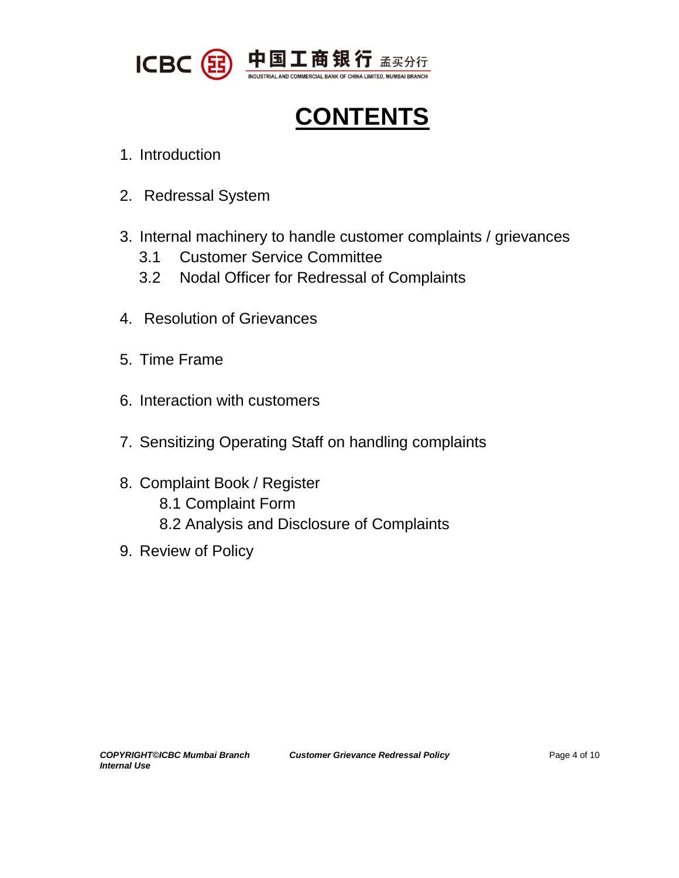

**CONTENTS**

- 1. Introduction
- 2. Redressal System
- 3. Internal machinery to handle customer complaints / grievances
	- 3.1 Customer Service Committee
	- 3.2 Nodal Officer for Redressal of Complaints
- 4. Resolution of Grievances
- 5. Time Frame
- 6. Interaction with customers
- 7. Sensitizing Operating Staff on handling complaints
- 8. Complaint Book / Register 8.1 Complaint Form 8.2 Analysis and Disclosure of Complaints
- 9. Review of Policy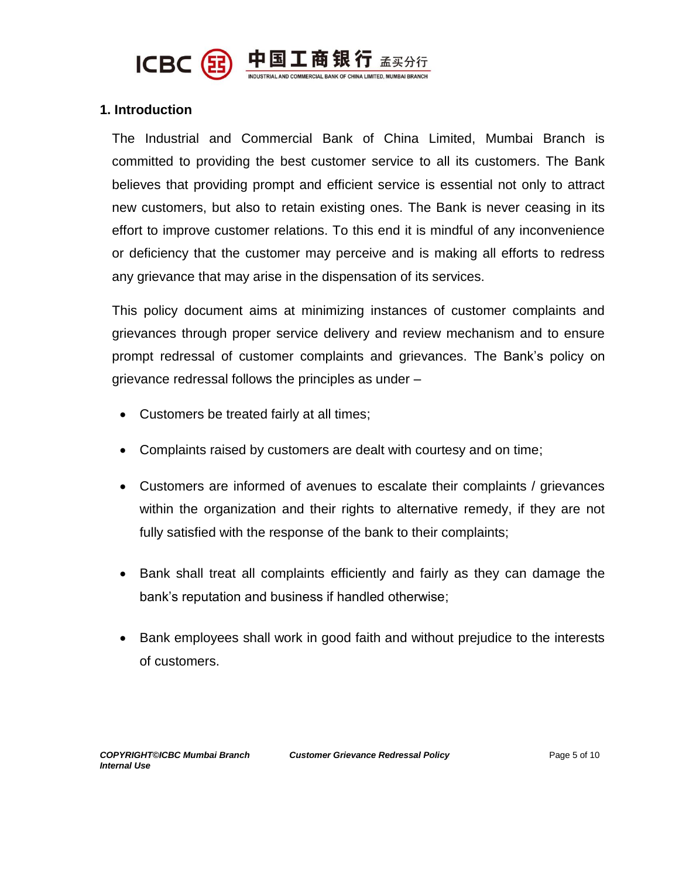

## **1. Introduction**

The Industrial and Commercial Bank of China Limited, Mumbai Branch is committed to providing the best customer service to all its customers. The Bank believes that providing prompt and efficient service is essential not only to attract new customers, but also to retain existing ones. The Bank is never ceasing in its effort to improve customer relations. To this end it is mindful of any inconvenience or deficiency that the customer may perceive and is making all efforts to redress any grievance that may arise in the dispensation of its services.

This policy document aims at minimizing instances of customer complaints and grievances through proper service delivery and review mechanism and to ensure prompt redressal of customer complaints and grievances. The Bank's policy on grievance redressal follows the principles as under –

- Customers be treated fairly at all times;
- Complaints raised by customers are dealt with courtesy and on time;
- Customers are informed of avenues to escalate their complaints / grievances within the organization and their rights to alternative remedy, if they are not fully satisfied with the response of the bank to their complaints;
- Bank shall treat all complaints efficiently and fairly as they can damage the bank's reputation and business if handled otherwise;
- Bank employees shall work in good faith and without prejudice to the interests of customers.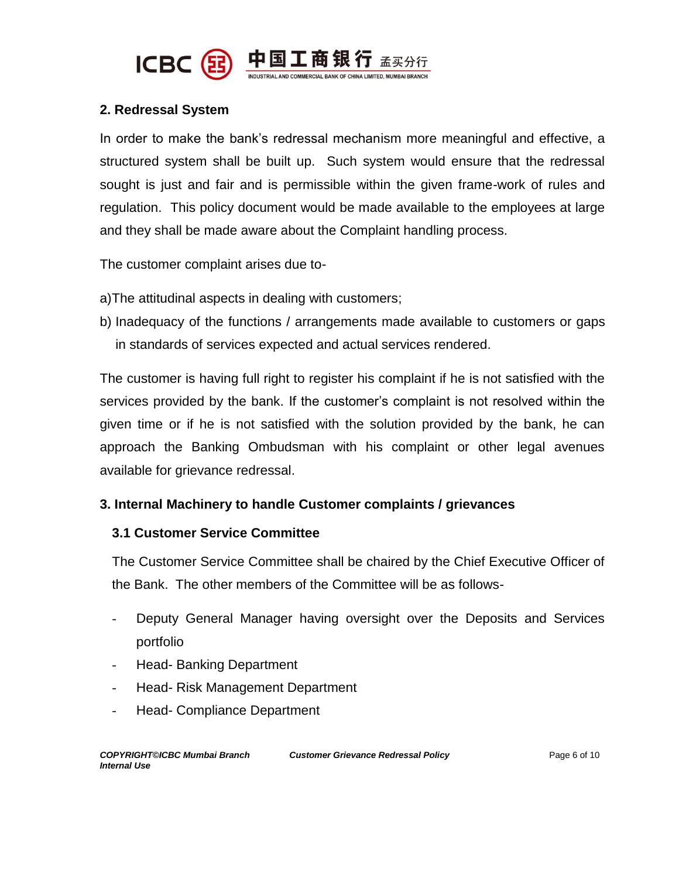

## **2. Redressal System**

In order to make the bank's redressal mechanism more meaningful and effective, a structured system shall be built up. Such system would ensure that the redressal sought is just and fair and is permissible within the given frame-work of rules and regulation. This policy document would be made available to the employees at large and they shall be made aware about the Complaint handling process.

The customer complaint arises due to-

- a)The attitudinal aspects in dealing with customers;
- b) Inadequacy of the functions / arrangements made available to customers or gaps in standards of services expected and actual services rendered.

The customer is having full right to register his complaint if he is not satisfied with the services provided by the bank. If the customer's complaint is not resolved within the given time or if he is not satisfied with the solution provided by the bank, he can approach the Banking Ombudsman with his complaint or other legal avenues available for grievance redressal.

## **3. Internal Machinery to handle Customer complaints / grievances**

## **3.1 Customer Service Committee**

The Customer Service Committee shall be chaired by the Chief Executive Officer of the Bank. The other members of the Committee will be as follows-

- Deputy General Manager having oversight over the Deposits and Services portfolio
- Head- Banking Department
- Head- Risk Management Department
- Head- Compliance Department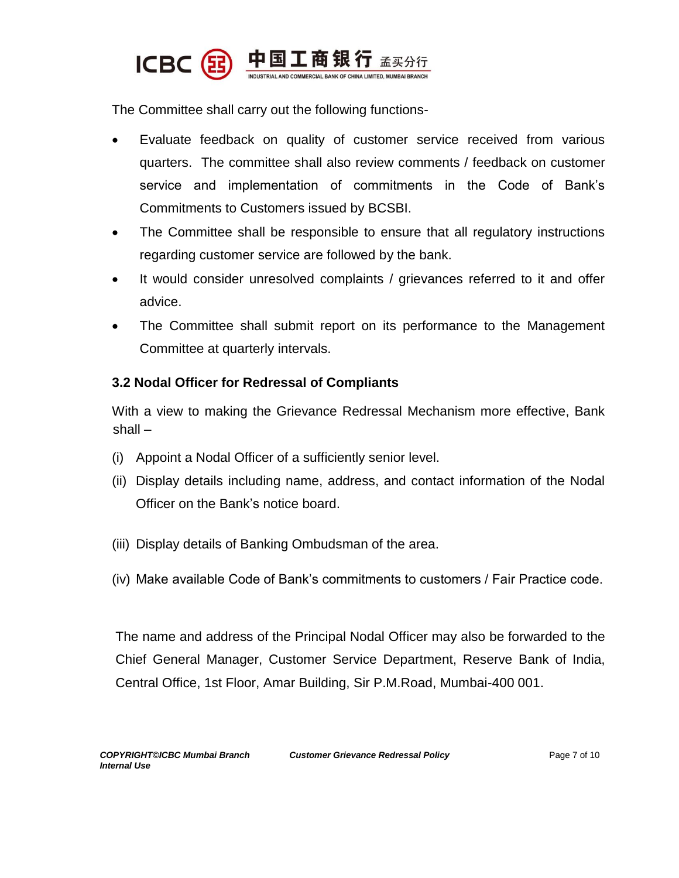

The Committee shall carry out the following functions-

- Evaluate feedback on quality of customer service received from various quarters. The committee shall also review comments / feedback on customer service and implementation of commitments in the Code of Bank's Commitments to Customers issued by BCSBI.
- The Committee shall be responsible to ensure that all regulatory instructions regarding customer service are followed by the bank.
- It would consider unresolved complaints / grievances referred to it and offer advice.
- The Committee shall submit report on its performance to the Management Committee at quarterly intervals.

## **3.2 Nodal Officer for Redressal of Compliants**

With a view to making the Grievance Redressal Mechanism more effective, Bank shall –

- (i) Appoint a Nodal Officer of a sufficiently senior level.
- (ii) Display details including name, address, and contact information of the Nodal Officer on the Bank's notice board.
- (iii) Display details of Banking Ombudsman of the area.
- (iv) Make available Code of Bank's commitments to customers / Fair Practice code.

The name and address of the Principal Nodal Officer may also be forwarded to the Chief General Manager, Customer Service Department, Reserve Bank of India, Central Office, 1st Floor, Amar Building, Sir P.M.Road, Mumbai-400 001.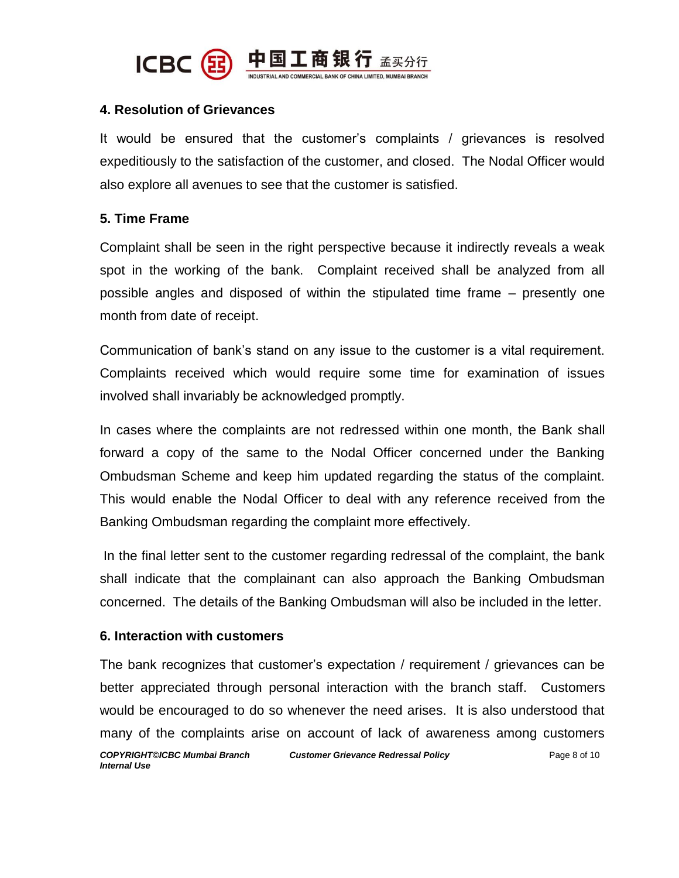

## **4. Resolution of Grievances**

It would be ensured that the customer's complaints / grievances is resolved expeditiously to the satisfaction of the customer, and closed. The Nodal Officer would also explore all avenues to see that the customer is satisfied.

## **5. Time Frame**

Complaint shall be seen in the right perspective because it indirectly reveals a weak spot in the working of the bank. Complaint received shall be analyzed from all possible angles and disposed of within the stipulated time frame – presently one month from date of receipt.

Communication of bank's stand on any issue to the customer is a vital requirement. Complaints received which would require some time for examination of issues involved shall invariably be acknowledged promptly.

In cases where the complaints are not redressed within one month, the Bank shall forward a copy of the same to the Nodal Officer concerned under the Banking Ombudsman Scheme and keep him updated regarding the status of the complaint. This would enable the Nodal Officer to deal with any reference received from the Banking Ombudsman regarding the complaint more effectively.

In the final letter sent to the customer regarding redressal of the complaint, the bank shall indicate that the complainant can also approach the Banking Ombudsman concerned. The details of the Banking Ombudsman will also be included in the letter.

## **6. Interaction with customers**

*COPYRIGHT©ICBC Mumbai Branch Customer Grievance Redressal Policy Internal Use* Page 8 of 10 The bank recognizes that customer's expectation / requirement / grievances can be better appreciated through personal interaction with the branch staff. Customers would be encouraged to do so whenever the need arises. It is also understood that many of the complaints arise on account of lack of awareness among customers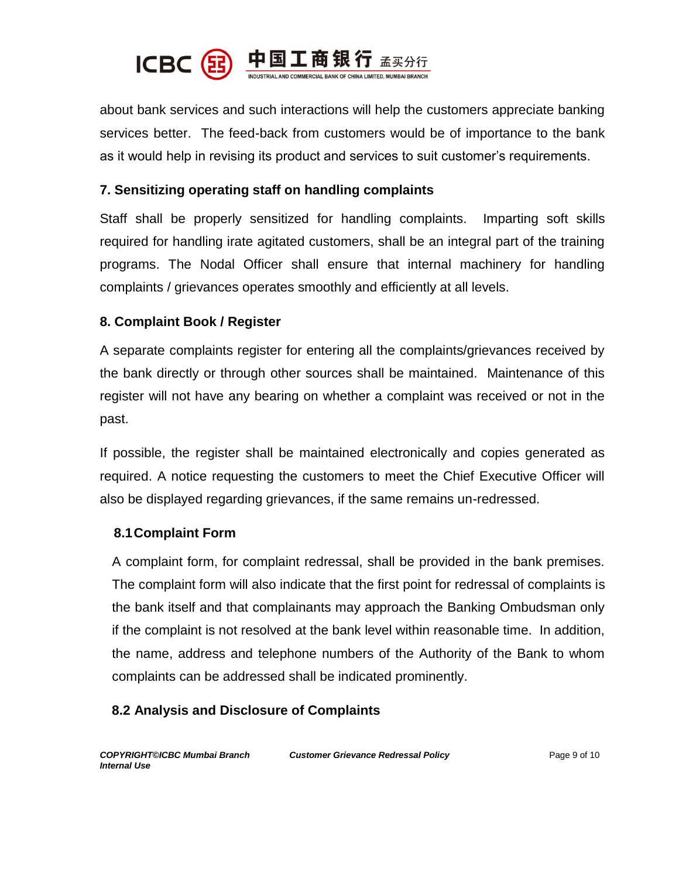

about bank services and such interactions will help the customers appreciate banking services better. The feed-back from customers would be of importance to the bank as it would help in revising its product and services to suit customer's requirements.

## **7. Sensitizing operating staff on handling complaints**

Staff shall be properly sensitized for handling complaints. Imparting soft skills required for handling irate agitated customers, shall be an integral part of the training programs. The Nodal Officer shall ensure that internal machinery for handling complaints / grievances operates smoothly and efficiently at all levels.

## **8. Complaint Book / Register**

A separate complaints register for entering all the complaints/grievances received by the bank directly or through other sources shall be maintained. Maintenance of this register will not have any bearing on whether a complaint was received or not in the past.

If possible, the register shall be maintained electronically and copies generated as required. A notice requesting the customers to meet the Chief Executive Officer will also be displayed regarding grievances, if the same remains un-redressed.

## **8.1Complaint Form**

A complaint form, for complaint redressal, shall be provided in the bank premises. The complaint form will also indicate that the first point for redressal of complaints is the bank itself and that complainants may approach the Banking Ombudsman only if the complaint is not resolved at the bank level within reasonable time. In addition, the name, address and telephone numbers of the Authority of the Bank to whom complaints can be addressed shall be indicated prominently.

## **8.2 Analysis and Disclosure of Complaints**